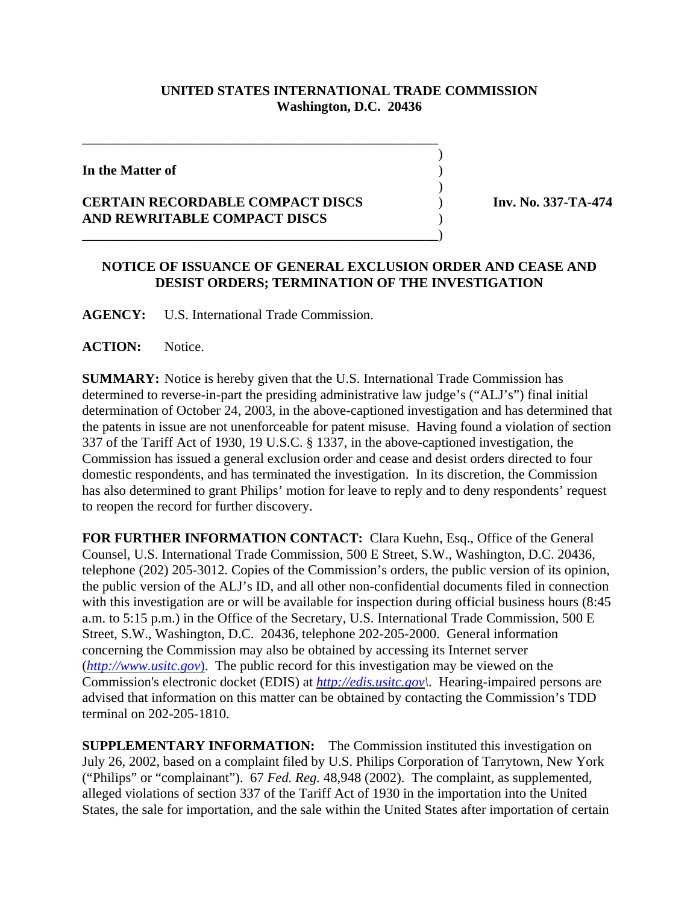## **UNITED STATES INTERNATIONAL TRADE COMMISSION Washington, D.C. 20436**

 $\overline{\phantom{a}}$ 

 $\overline{\phantom{a}}$ 

**In the Matter of** )

## **CERTAIN RECORDABLE COMPACT DISCS** ) **Inv. No. 337-TA-474 AND REWRITABLE COMPACT DISCS** )

\_\_\_\_\_\_\_\_\_\_\_\_\_\_\_\_\_\_\_\_\_\_\_\_\_\_\_\_\_\_\_\_\_\_\_\_\_\_\_\_\_\_\_\_\_\_\_\_\_\_\_\_

\_\_\_\_\_\_\_\_\_\_\_\_\_\_\_\_\_\_\_\_\_\_\_\_\_\_\_\_\_\_\_\_\_\_\_\_\_\_\_\_\_\_\_\_\_\_\_\_\_\_\_\_)

## **NOTICE OF ISSUANCE OF GENERAL EXCLUSION ORDER AND CEASE AND DESIST ORDERS; TERMINATION OF THE INVESTIGATION**

**AGENCY:** U.S. International Trade Commission.

**ACTION:** Notice.

**SUMMARY:** Notice is hereby given that the U.S. International Trade Commission has determined to reverse-in-part the presiding administrative law judge's ("ALJ's") final initial determination of October 24, 2003, in the above-captioned investigation and has determined that the patents in issue are not unenforceable for patent misuse. Having found a violation of section 337 of the Tariff Act of 1930, 19 U.S.C. § 1337, in the above-captioned investigation, the Commission has issued a general exclusion order and cease and desist orders directed to four domestic respondents, and has terminated the investigation. In its discretion, the Commission has also determined to grant Philips' motion for leave to reply and to deny respondents' request to reopen the record for further discovery.

**FOR FURTHER INFORMATION CONTACT:** Clara Kuehn, Esq., Office of the General Counsel, U.S. International Trade Commission, 500 E Street, S.W., Washington, D.C. 20436, telephone (202) 205-3012. Copies of the Commission's orders, the public version of its opinion, the public version of the ALJ's ID, and all other non-confidential documents filed in connection with this investigation are or will be available for inspection during official business hours (8:45 a.m. to 5:15 p.m.) in the Office of the Secretary, U.S. International Trade Commission, 500 E Street, S.W., Washington, D.C. 20436, telephone 202-205-2000. General information concerning the Commission may also be obtained by accessing its Internet server (*http://www.usitc.gov*). The public record for this investigation may be viewed on the Commission's electronic docket (EDIS) at *http://edis.usitc.gov\*. Hearing-impaired persons are advised that information on this matter can be obtained by contacting the Commission's TDD terminal on 202-205-1810.

**SUPPLEMENTARY INFORMATION:** The Commission instituted this investigation on July 26, 2002, based on a complaint filed by U.S. Philips Corporation of Tarrytown, New York ("Philips" or "complainant"). 67 *Fed. Reg.* 48,948 (2002). The complaint, as supplemented, alleged violations of section 337 of the Tariff Act of 1930 in the importation into the United States, the sale for importation, and the sale within the United States after importation of certain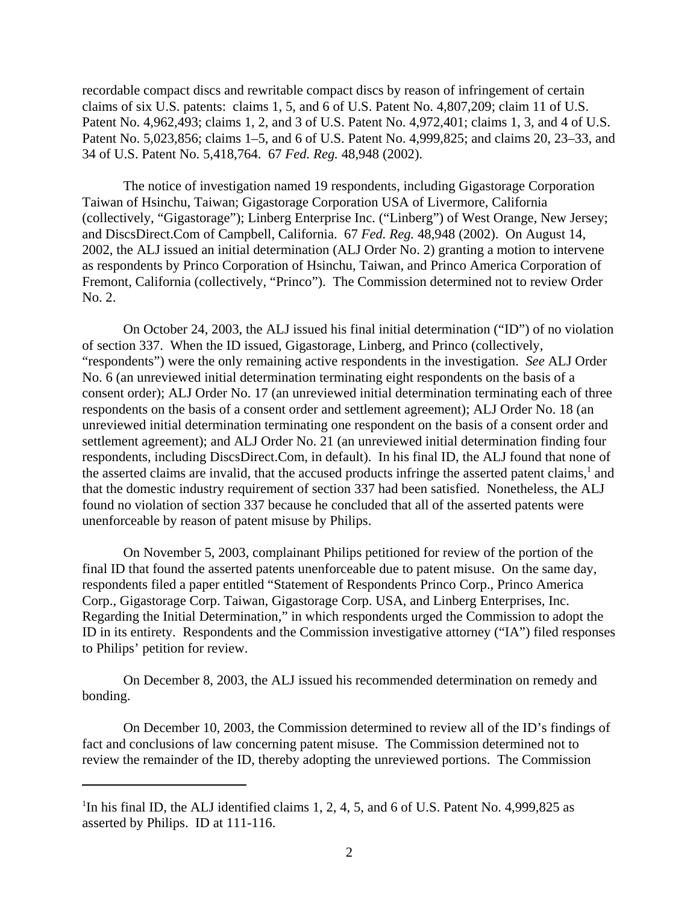recordable compact discs and rewritable compact discs by reason of infringement of certain claims of six U.S. patents: claims 1, 5, and 6 of U.S. Patent No. 4,807,209; claim 11 of U.S. Patent No. 4,962,493; claims 1, 2, and 3 of U.S. Patent No. 4,972,401; claims 1, 3, and 4 of U.S. Patent No. 5,023,856; claims 1–5, and 6 of U.S. Patent No. 4,999,825; and claims 20, 23–33, and 34 of U.S. Patent No. 5,418,764. 67 *Fed. Reg.* 48,948 (2002).

The notice of investigation named 19 respondents, including Gigastorage Corporation Taiwan of Hsinchu, Taiwan; Gigastorage Corporation USA of Livermore, California (collectively, "Gigastorage"); Linberg Enterprise Inc. ("Linberg") of West Orange, New Jersey; and DiscsDirect.Com of Campbell, California. 67 *Fed. Reg.* 48,948 (2002). On August 14, 2002, the ALJ issued an initial determination (ALJ Order No. 2) granting a motion to intervene as respondents by Princo Corporation of Hsinchu, Taiwan, and Princo America Corporation of Fremont, California (collectively, "Princo"). The Commission determined not to review Order No. 2.

 On October 24, 2003, the ALJ issued his final initial determination ("ID") of no violation of section 337. When the ID issued, Gigastorage, Linberg, and Princo (collectively, "respondents") were the only remaining active respondents in the investigation. *See* ALJ Order No. 6 (an unreviewed initial determination terminating eight respondents on the basis of a consent order); ALJ Order No. 17 (an unreviewed initial determination terminating each of three respondents on the basis of a consent order and settlement agreement); ALJ Order No. 18 (an unreviewed initial determination terminating one respondent on the basis of a consent order and settlement agreement); and ALJ Order No. 21 (an unreviewed initial determination finding four respondents, including DiscsDirect.Com, in default). In his final ID, the ALJ found that none of the asserted claims are invalid, that the accused products infringe the asserted patent claims,<sup>1</sup> and that the domestic industry requirement of section 337 had been satisfied. Nonetheless, the ALJ found no violation of section 337 because he concluded that all of the asserted patents were unenforceable by reason of patent misuse by Philips.

On November 5, 2003, complainant Philips petitioned for review of the portion of the final ID that found the asserted patents unenforceable due to patent misuse. On the same day, respondents filed a paper entitled "Statement of Respondents Princo Corp., Princo America Corp., Gigastorage Corp. Taiwan, Gigastorage Corp. USA, and Linberg Enterprises, Inc. Regarding the Initial Determination," in which respondents urged the Commission to adopt the ID in its entirety. Respondents and the Commission investigative attorney ("IA") filed responses to Philips' petition for review.

On December 8, 2003, the ALJ issued his recommended determination on remedy and bonding.

On December 10, 2003, the Commission determined to review all of the ID's findings of fact and conclusions of law concerning patent misuse. The Commission determined not to review the remainder of the ID, thereby adopting the unreviewed portions. The Commission

<sup>&</sup>lt;sup>1</sup>In his final ID, the ALJ identified claims 1, 2, 4, 5, and 6 of U.S. Patent No. 4,999,825 as asserted by Philips. ID at 111-116.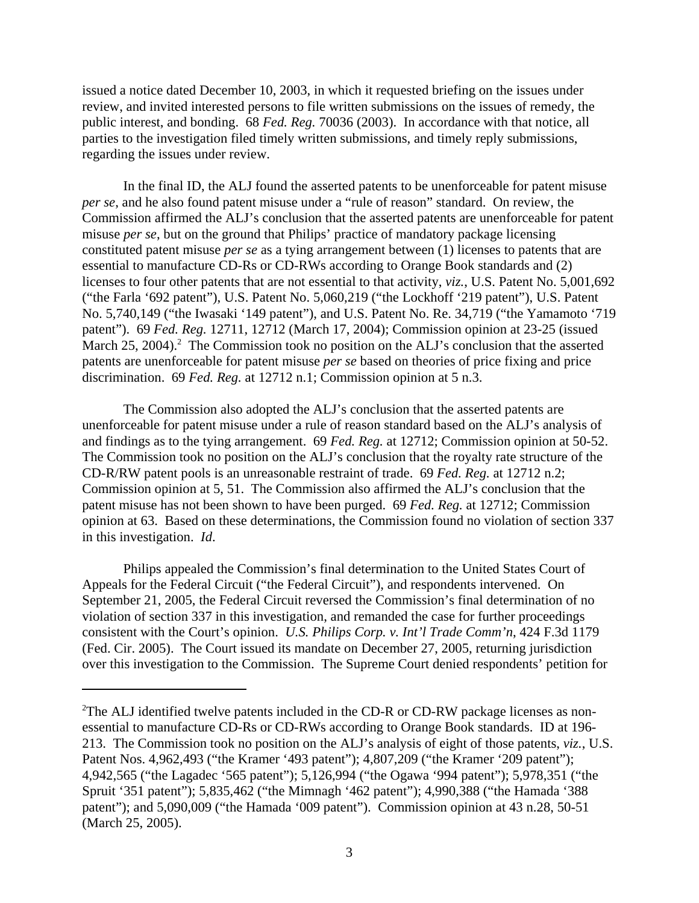issued a notice dated December 10, 2003, in which it requested briefing on the issues under review, and invited interested persons to file written submissions on the issues of remedy, the public interest, and bonding. 68 *Fed. Reg.* 70036 (2003). In accordance with that notice, all parties to the investigation filed timely written submissions, and timely reply submissions, regarding the issues under review.

In the final ID, the ALJ found the asserted patents to be unenforceable for patent misuse *per se*, and he also found patent misuse under a "rule of reason" standard. On review, the Commission affirmed the ALJ's conclusion that the asserted patents are unenforceable for patent misuse *per se*, but on the ground that Philips' practice of mandatory package licensing constituted patent misuse *per se* as a tying arrangement between (1) licenses to patents that are essential to manufacture CD-Rs or CD-RWs according to Orange Book standards and (2) licenses to four other patents that are not essential to that activity, *viz.*, U.S. Patent No. 5,001,692 ("the Farla '692 patent"), U.S. Patent No. 5,060,219 ("the Lockhoff '219 patent"), U.S. Patent No. 5,740,149 ("the Iwasaki '149 patent"), and U.S. Patent No. Re. 34,719 ("the Yamamoto '719 patent"). 69 *Fed. Reg.* 12711, 12712 (March 17, 2004); Commission opinion at 23-25 (issued March 25, 2004).<sup>2</sup> The Commission took no position on the ALJ's conclusion that the asserted patents are unenforceable for patent misuse *per se* based on theories of price fixing and price discrimination. 69 *Fed. Reg.* at 12712 n.1; Commission opinion at 5 n.3.

The Commission also adopted the ALJ's conclusion that the asserted patents are unenforceable for patent misuse under a rule of reason standard based on the ALJ's analysis of and findings as to the tying arrangement. 69 *Fed. Reg.* at 12712; Commission opinion at 50-52. The Commission took no position on the ALJ's conclusion that the royalty rate structure of the CD-R/RW patent pools is an unreasonable restraint of trade. 69 *Fed. Reg.* at 12712 n.2; Commission opinion at 5, 51. The Commission also affirmed the ALJ's conclusion that the patent misuse has not been shown to have been purged. 69 *Fed. Reg.* at 12712; Commission opinion at 63. Based on these determinations, the Commission found no violation of section 337 in this investigation. *Id*.

Philips appealed the Commission's final determination to the United States Court of Appeals for the Federal Circuit ("the Federal Circuit"), and respondents intervened. On September 21, 2005, the Federal Circuit reversed the Commission's final determination of no violation of section 337 in this investigation, and remanded the case for further proceedings consistent with the Court's opinion. *U.S. Philips Corp. v. Int'l Trade Comm'n*, 424 F.3d 1179 (Fed. Cir. 2005). The Court issued its mandate on December 27, 2005, returning jurisdiction over this investigation to the Commission. The Supreme Court denied respondents' petition for

 $2$ The ALJ identified twelve patents included in the CD-R or CD-RW package licenses as nonessential to manufacture CD-Rs or CD-RWs according to Orange Book standards. ID at 196- 213. The Commission took no position on the ALJ's analysis of eight of those patents, *viz.*, U.S. Patent Nos. 4,962,493 ("the Kramer '493 patent"); 4,807,209 ("the Kramer '209 patent"); 4,942,565 ("the Lagadec '565 patent"); 5,126,994 ("the Ogawa '994 patent"); 5,978,351 ("the Spruit '351 patent"); 5,835,462 ("the Mimnagh '462 patent"); 4,990,388 ("the Hamada '388 patent"); and 5,090,009 ("the Hamada '009 patent"). Commission opinion at 43 n.28, 50-51 (March 25, 2005).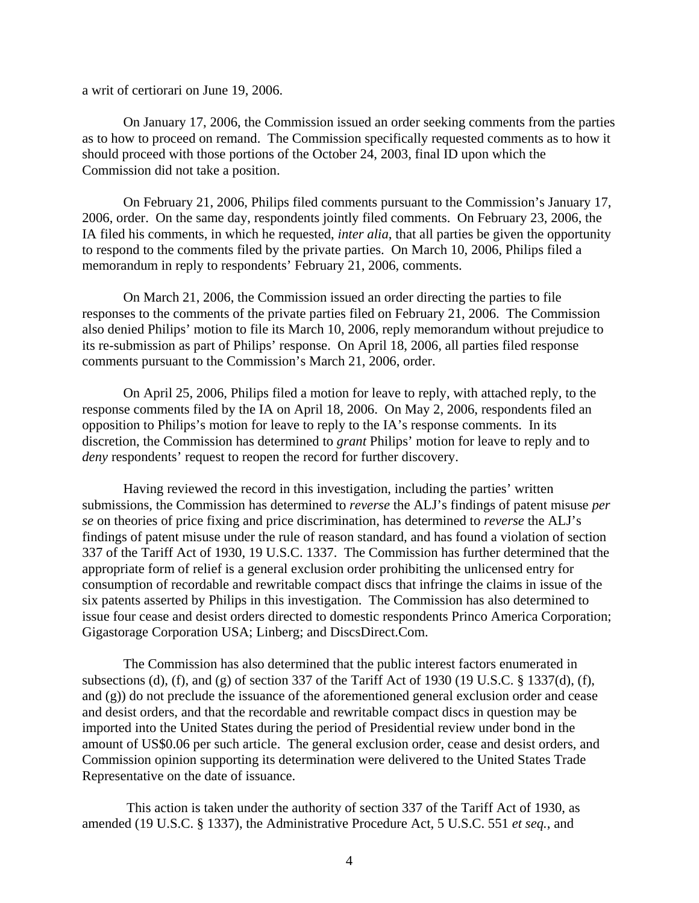a writ of certiorari on June 19, 2006.

On January 17, 2006, the Commission issued an order seeking comments from the parties as to how to proceed on remand. The Commission specifically requested comments as to how it should proceed with those portions of the October 24, 2003, final ID upon which the Commission did not take a position.

On February 21, 2006, Philips filed comments pursuant to the Commission's January 17, 2006, order. On the same day, respondents jointly filed comments. On February 23, 2006, the IA filed his comments, in which he requested, *inter alia*, that all parties be given the opportunity to respond to the comments filed by the private parties. On March 10, 2006, Philips filed a memorandum in reply to respondents' February 21, 2006, comments.

On March 21, 2006, the Commission issued an order directing the parties to file responses to the comments of the private parties filed on February 21, 2006. The Commission also denied Philips' motion to file its March 10, 2006, reply memorandum without prejudice to its re-submission as part of Philips' response. On April 18, 2006, all parties filed response comments pursuant to the Commission's March 21, 2006, order.

On April 25, 2006, Philips filed a motion for leave to reply, with attached reply, to the response comments filed by the IA on April 18, 2006. On May 2, 2006, respondents filed an opposition to Philips's motion for leave to reply to the IA's response comments. In its discretion, the Commission has determined to *grant* Philips' motion for leave to reply and to *deny* respondents' request to reopen the record for further discovery.

Having reviewed the record in this investigation, including the parties' written submissions, the Commission has determined to *reverse* the ALJ's findings of patent misuse *per se* on theories of price fixing and price discrimination, has determined to *reverse* the ALJ's findings of patent misuse under the rule of reason standard, and has found a violation of section 337 of the Tariff Act of 1930, 19 U.S.C. 1337. The Commission has further determined that the appropriate form of relief is a general exclusion order prohibiting the unlicensed entry for consumption of recordable and rewritable compact discs that infringe the claims in issue of the six patents asserted by Philips in this investigation. The Commission has also determined to issue four cease and desist orders directed to domestic respondents Princo America Corporation; Gigastorage Corporation USA; Linberg; and DiscsDirect.Com.

The Commission has also determined that the public interest factors enumerated in subsections (d), (f), and (g) of section 337 of the Tariff Act of 1930 (19 U.S.C. § 1337(d), (f), and (g)) do not preclude the issuance of the aforementioned general exclusion order and cease and desist orders, and that the recordable and rewritable compact discs in question may be imported into the United States during the period of Presidential review under bond in the amount of US\$0.06 per such article. The general exclusion order, cease and desist orders, and Commission opinion supporting its determination were delivered to the United States Trade Representative on the date of issuance.

 This action is taken under the authority of section 337 of the Tariff Act of 1930, as amended (19 U.S.C. § 1337), the Administrative Procedure Act, 5 U.S.C. 551 *et seq.*, and